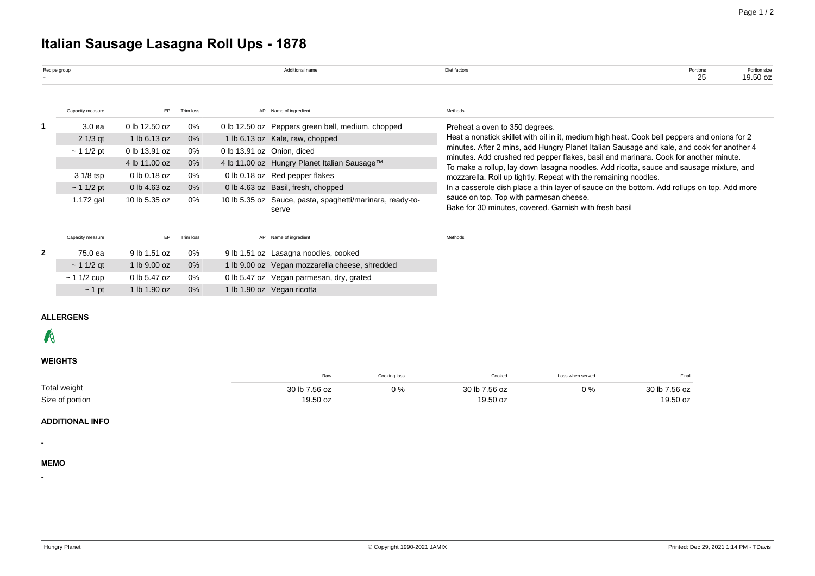# **Italian Sausage Lasagna Roll Ups - 1878**

|              | Recipe group     |               |           | Additional name                                                    | Diet factors                                                                                                                                                                              | Portions<br>25 | Portion size<br>19.50 oz |  |  |  |  |
|--------------|------------------|---------------|-----------|--------------------------------------------------------------------|-------------------------------------------------------------------------------------------------------------------------------------------------------------------------------------------|----------------|--------------------------|--|--|--|--|
|              | Capacity measure | EP.           | Trim loss | AP Name of ingredient                                              | Methods                                                                                                                                                                                   |                |                          |  |  |  |  |
|              | 3.0 ea           | 0 lb 12.50 oz | 0%        | 0 lb 12.50 oz Peppers green bell, medium, chopped                  | Preheat a oven to 350 degrees.                                                                                                                                                            |                |                          |  |  |  |  |
|              | $21/3$ qt        | 1 lb 6.13 oz  | $0\%$     | 1 lb 6.13 oz Kale, raw, chopped                                    | Heat a nonstick skillet with oil in it, medium high heat. Cook bell peppers and onions for 2<br>minutes. After 2 mins, add Hungry Planet Italian Sausage and kale, and cook for another 4 |                |                          |  |  |  |  |
|              | $\sim$ 1 1/2 pt  | 0 lb 13.91 oz | 0%        | 0 lb 13.91 oz Onion, diced                                         |                                                                                                                                                                                           |                |                          |  |  |  |  |
|              |                  | 4 lb 11.00 oz | $0\%$     | 4 lb 11.00 oz Hungry Planet Italian Sausage™                       | minutes. Add crushed red pepper flakes, basil and marinara. Cook for another minute.<br>To make a rollup, lay down lasagna noodles. Add ricotta, sauce and sausage mixture, and           |                |                          |  |  |  |  |
|              | 3 1/8 tsp        | 0 lb 0.18 oz  | 0%        | 0 lb 0.18 oz Red pepper flakes                                     | mozzarella. Roll up tightly. Repeat with the remaining noodles.                                                                                                                           |                |                          |  |  |  |  |
|              | $\sim$ 1 1/2 pt  | 0 lb 4.63 oz  | $0\%$     | 0 lb 4.63 oz Basil, fresh, chopped                                 | In a casserole dish place a thin layer of sauce on the bottom. Add rollups on top. Add more                                                                                               |                |                          |  |  |  |  |
|              | $1.172$ gal      | 10 lb 5.35 oz | 0%        | 10 lb 5.35 oz Sauce, pasta, spaghetti/marinara, ready-to-<br>serve | sauce on top. Top with parmesan cheese.<br>Bake for 30 minutes, covered. Garnish with fresh basil                                                                                         |                |                          |  |  |  |  |
|              | Capacity measure | EP.           | Trim loss | AP Name of ingredient                                              | Methods                                                                                                                                                                                   |                |                          |  |  |  |  |
| $\mathbf{2}$ | 75.0 ea          | 9 lb 1.51 oz  | 0%        | 9 lb 1.51 oz Lasagna noodles, cooked                               |                                                                                                                                                                                           |                |                          |  |  |  |  |
|              | $\sim$ 1 1/2 gt  | 1 lb 9.00 oz  | $0\%$     | 1 lb 9.00 oz Vegan mozzarella cheese, shredded                     |                                                                                                                                                                                           |                |                          |  |  |  |  |
|              | $~11/2$ cup      | 0 lb 5.47 oz  | 0%        | 0 lb 5.47 oz Vegan parmesan, dry, grated                           |                                                                                                                                                                                           |                |                          |  |  |  |  |
|              | $\sim$ 1 pt      | 1 lb 1.90 oz  | 0%        | 1 lb 1.90 oz Vegan ricotta                                         |                                                                                                                                                                                           |                |                          |  |  |  |  |

## **ALLERGENS**

# $\mathcal{R}$

# **WEIGHTS**

|                 | Raw                 | Cooking loss | Cooked        | Loss when served | Final         |
|-----------------|---------------------|--------------|---------------|------------------|---------------|
| Total weight    | 7.56 oz<br>$30th$ . | $\gamma$ %   | 30 lb 7.56 oz | ∩ 0/             | 30 lb 7.56 oz |
| Size of portion | 19.50 oz            |              | 19.50 oz      |                  | 19.50 oz      |

# **ADDITIONAL INFO**

#### **MEMO**

-

-